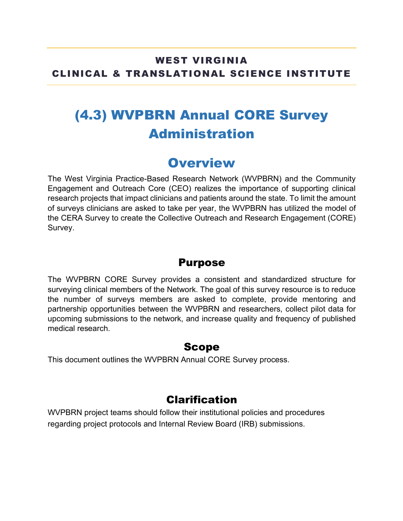#### WEST VIRGINIA CLINICAL & TRANSLATIONAL SCIENCE INSTITUTE

# (4.3) WVPBRN Annual CORE Survey Administration

### **Overview**

The West Virginia Practice-Based Research Network (WVPBRN) and the Community Engagement and Outreach Core (CEO) realizes the importance of supporting clinical research projects that impact clinicians and patients around the state. To limit the amount of surveys clinicians are asked to take per year, the WVPBRN has utilized the model of the CERA Survey to create the Collective Outreach and Research Engagement (CORE) Survey.

#### Purpose

The WVPBRN CORE Survey provides a consistent and standardized structure for surveying clinical members of the Network. The goal of this survey resource is to reduce the number of surveys members are asked to complete, provide mentoring and partnership opportunities between the WVPBRN and researchers, collect pilot data for upcoming submissions to the network, and increase quality and frequency of published medical research.

#### Scope

This document outlines the WVPBRN Annual CORE Survey process.

#### Clarification

WVPBRN project teams should follow their institutional policies and procedures regarding project protocols and Internal Review Board (IRB) submissions.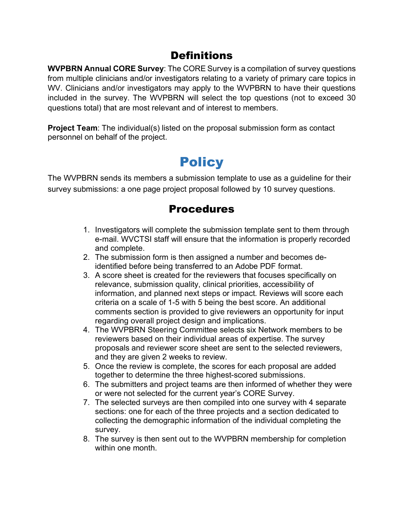#### **Definitions**

**WVPBRN Annual CORE Survey**: The CORE Survey is a compilation of survey questions from multiple clinicians and/or investigators relating to a variety of primary care topics in WV. Clinicians and/or investigators may apply to the WVPBRN to have their questions included in the survey. The WVPBRN will select the top questions (not to exceed 30 questions total) that are most relevant and of interest to members.

**Project Team**: The individual(s) listed on the proposal submission form as contact personnel on behalf of the project.

## **Policy**

The WVPBRN sends its members a submission template to use as a guideline for their survey submissions: a one page project proposal followed by 10 survey questions.

### Procedures

- 1. Investigators will complete the submission template sent to them through e-mail. WVCTSI staff will ensure that the information is properly recorded and complete.
- 2. The submission form is then assigned a number and becomes deidentified before being transferred to an Adobe PDF format.
- 3. A score sheet is created for the reviewers that focuses specifically on relevance, submission quality, clinical priorities, accessibility of information, and planned next steps or impact. Reviews will score each criteria on a scale of 1-5 with 5 being the best score. An additional comments section is provided to give reviewers an opportunity for input regarding overall project design and implications.
- 4. The WVPBRN Steering Committee selects six Network members to be reviewers based on their individual areas of expertise. The survey proposals and reviewer score sheet are sent to the selected reviewers, and they are given 2 weeks to review.
- 5. Once the review is complete, the scores for each proposal are added together to determine the three highest-scored submissions.
- 6. The submitters and project teams are then informed of whether they were or were not selected for the current year's CORE Survey.
- 7. The selected surveys are then compiled into one survey with 4 separate sections: one for each of the three projects and a section dedicated to collecting the demographic information of the individual completing the survey.
- 8. The survey is then sent out to the WVPBRN membership for completion within one month.